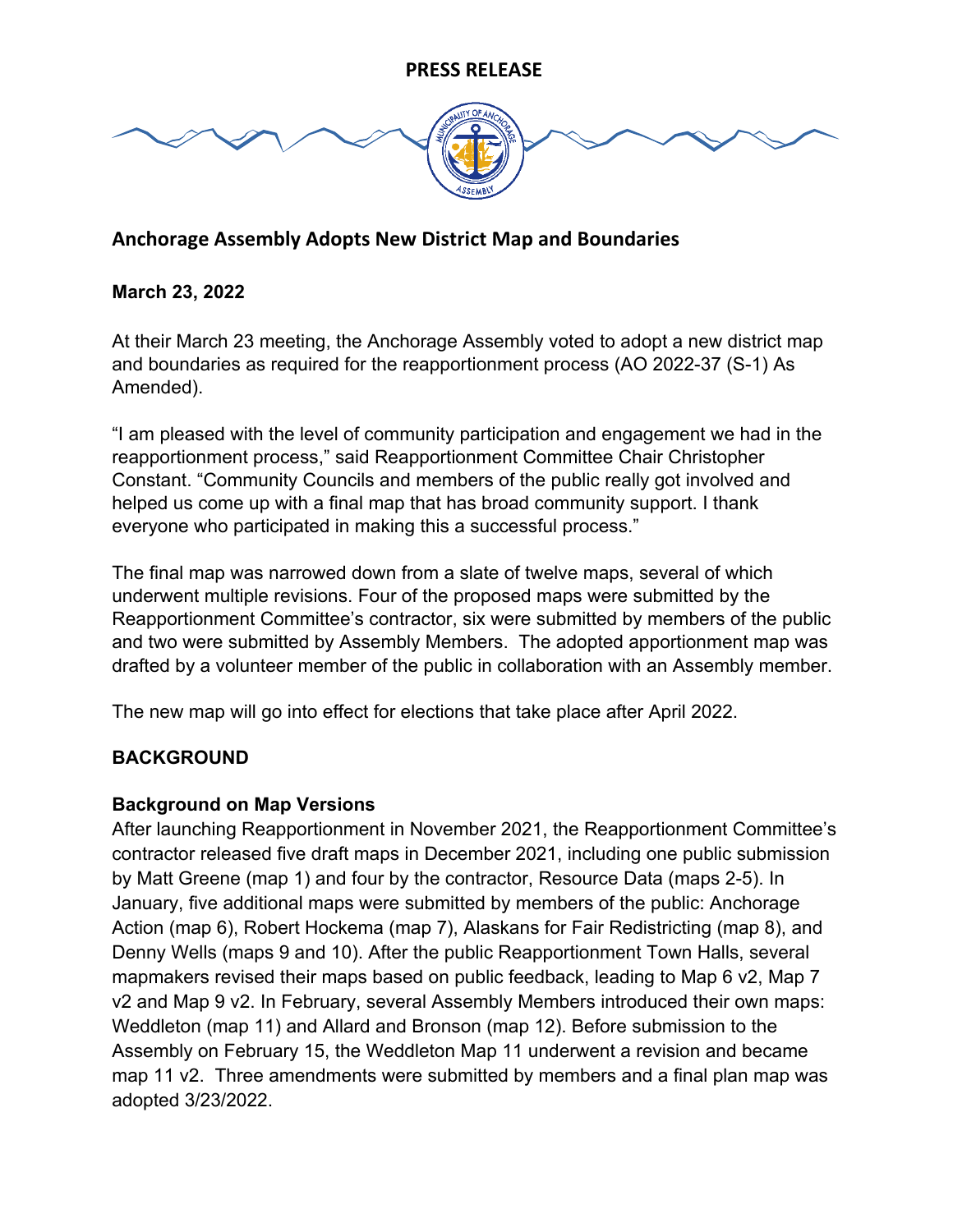

# **Anchorage Assembly Adopts New District Map and Boundaries**

### **March 23, 2022**

At their March 23 meeting, the Anchorage Assembly voted to adopt a new district map and boundaries as required for the reapportionment process (AO 2022-37 (S-1) As Amended).

"I am pleased with the level of community participation and engagement we had in the reapportionment process," said Reapportionment Committee Chair Christopher Constant. "Community Councils and members of the public really got involved and helped us come up with a final map that has broad community support. I thank everyone who participated in making this a successful process."

The final map was narrowed down from a slate of twelve maps, several of which underwent multiple revisions. Four of the proposed maps were submitted by the Reapportionment Committee's contractor, six were submitted by members of the public and two were submitted by Assembly Members. The adopted apportionment map was drafted by a volunteer member of the public in collaboration with an Assembly member.

The new map will go into effect for elections that take place after April 2022.

## **BACKGROUND**

## **Background on Map Versions**

After launching Reapportionment in November 2021, the Reapportionment Committee's contractor released five draft maps in December 2021, including one public submission by Matt Greene (map 1) and four by the contractor, Resource Data (maps 2-5). In January, five additional maps were submitted by members of the public: Anchorage Action (map 6), Robert Hockema (map 7), Alaskans for Fair Redistricting (map 8), and Denny Wells (maps 9 and 10). After the public Reapportionment Town Halls, several mapmakers revised their maps based on public feedback, leading to Map 6 v2, Map 7 v2 and Map 9 v2. In February, several Assembly Members introduced their own maps: Weddleton (map 11) and Allard and Bronson (map 12). Before submission to the Assembly on February 15, the Weddleton Map 11 underwent a revision and became map 11 v2. Three amendments were submitted by members and a final plan map was adopted 3/23/2022.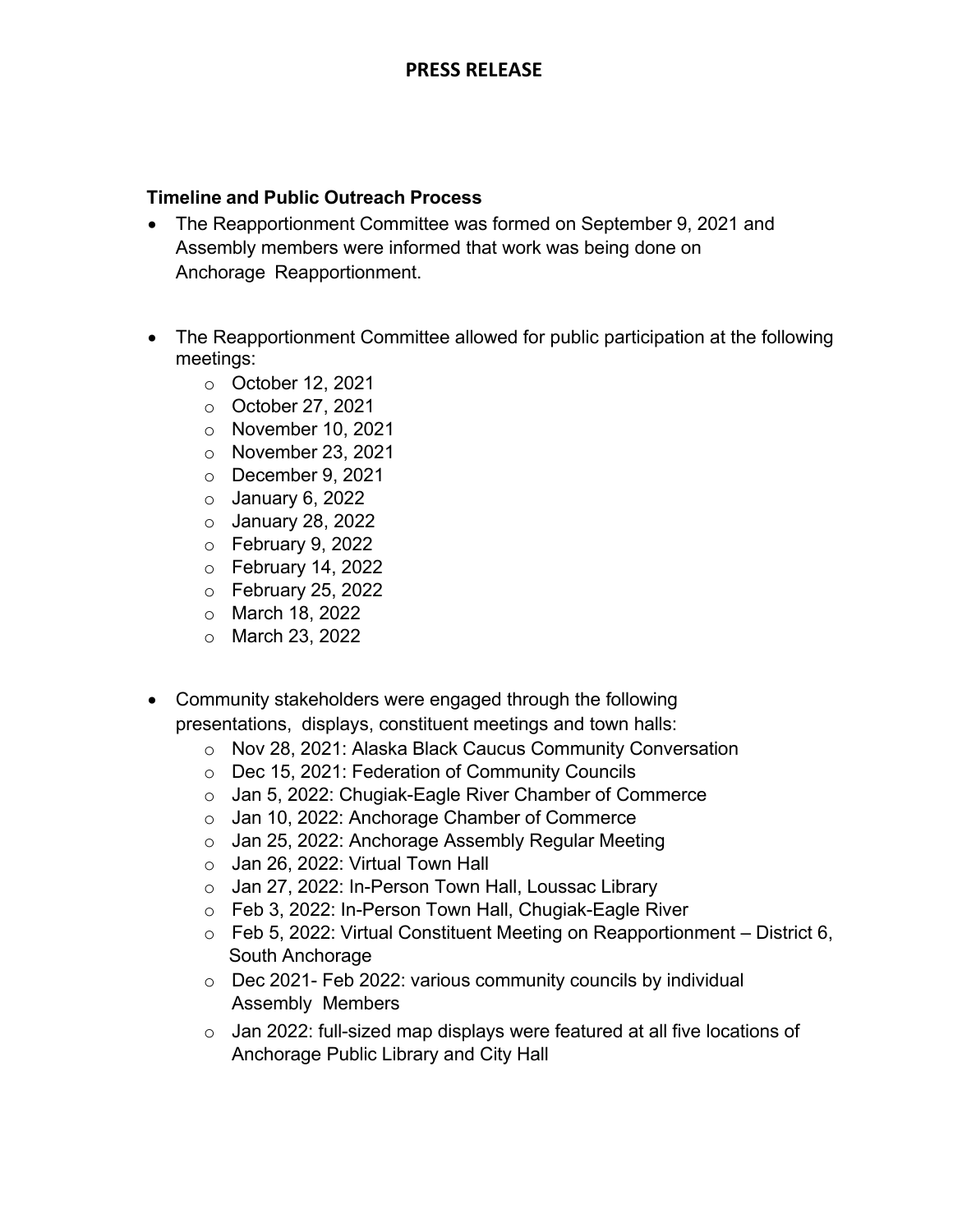## **Timeline and Public Outreach Process**

- The Reapportionment Committee was formed on September 9, 2021 and Assembly members were informed that work was being done on Anchorage Reapportionment.
- The Reapportionment Committee allowed for public participation at the following meetings:
	- o October 12, 2021
	- o October 27, 2021
	- o November 10, 2021
	- o November 23, 2021
	- o December 9, 2021
	- $\circ$  January 6, 2022
	- $\circ$  January 28, 2022
	- o February 9, 2022
	- o February 14, 2022
	- o February 25, 2022
	- o March 18, 2022
	- o March 23, 2022
- Community stakeholders were engaged through the following presentations, displays, constituent meetings and town halls:
	- o Nov 28, 2021: Alaska Black Caucus Community Conversation
	- o Dec 15, 2021: Federation of Community Councils
	- o Jan 5, 2022: Chugiak-Eagle River Chamber of Commerce
	- o Jan 10, 2022: Anchorage Chamber of Commerce
	- o Jan 25, 2022: Anchorage Assembly Regular Meeting
	- $\circ$  Jan 26, 2022: Virtual Town Hall
	- o Jan 27, 2022: In-Person Town Hall, Loussac Library
	- o Feb 3, 2022: In-Person Town Hall, Chugiak-Eagle River
	- $\circ$  Feb 5, 2022: Virtual Constituent Meeting on Reapportionment District 6, South Anchorage
	- $\circ$  Dec 2021- Feb 2022: various community councils by individual Assembly Members
	- $\circ$  Jan 2022: full-sized map displays were featured at all five locations of Anchorage Public Library and City Hall